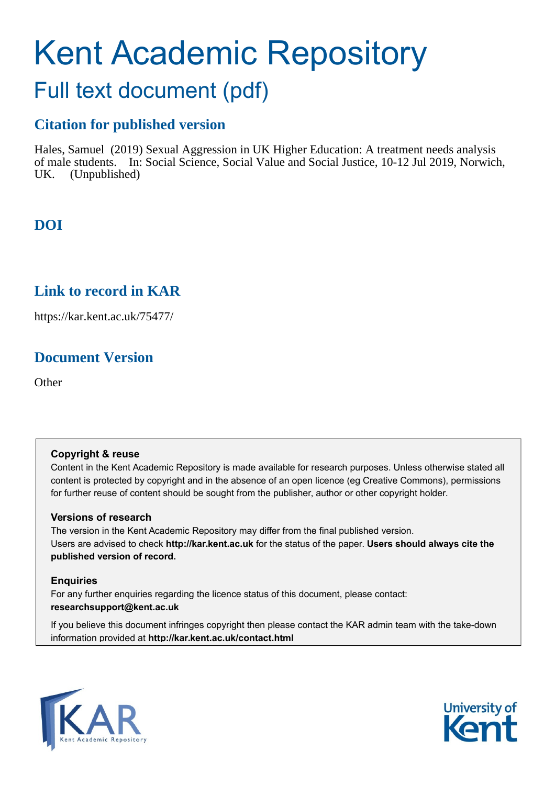# Kent Academic Repository

# Full text document (pdf)

#### **Citation for published version**

Hales, Samuel (2019) Sexual Aggression in UK Higher Education: A treatment needs analysis of male students. In: Social Science, Social Value and Social Justice, 10-12 Jul 2019, Norwich, UK. (Unpublished)

### **DOI**

#### **Link to record in KAR**

https://kar.kent.ac.uk/75477/

### **Document Version**

**Other** 

#### **Copyright & reuse**

Content in the Kent Academic Repository is made available for research purposes. Unless otherwise stated all content is protected by copyright and in the absence of an open licence (eg Creative Commons), permissions for further reuse of content should be sought from the publisher, author or other copyright holder.

#### **Versions of research**

The version in the Kent Academic Repository may differ from the final published version. Users are advised to check **http://kar.kent.ac.uk** for the status of the paper. **Users should always cite the published version of record.**

#### **Enquiries**

For any further enquiries regarding the licence status of this document, please contact: **researchsupport@kent.ac.uk**

If you believe this document infringes copyright then please contact the KAR admin team with the take-down information provided at **http://kar.kent.ac.uk/contact.html**